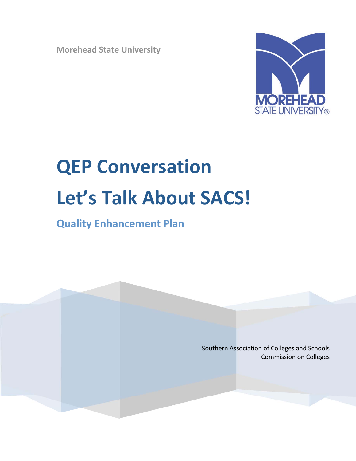**Morehead State University** 



# **QEP Conversation** Let's Talk About SACS!

# **Quality Enhancement Plan**

Southern Association of Colleges and Schools **Commission on Colleges**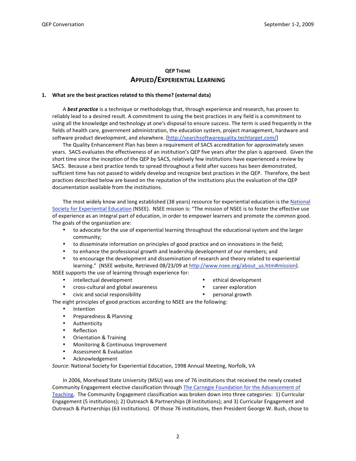## **QEP THEME APPLIED/EXPERIENTIAL LEARNING**

#### 1. What are the best practices related to this theme? (external data)

A best practice is a technique or methodology that, through experience and research, has proven to reliably lead to a desired result. A commitment to using the best practices in any field is a commitment to using all the knowledge and technology at one's disposal to ensure success. The term is used frequently in the fields of health care, government administration, the education system, project management, hardware and software product development, and elsewhere. [http://searchsoftwarequality.techtarget.com/]

The Quality Enhancement Plan has been a requirement of SACS accreditation for approximately seven years. SACS evaluates the effectiveness of an institution's QEP five years after the plan is approved. Given the short time since the inception of the QEP by SACS, relatively few institutions have experienced a review by SACS. Because a best practice tends to spread throughout a field after success has been demonstrated, sufficient time has not passed to widely develop and recognize best practices in the QEP. Therefore, the best practices described below are based on the reputation of the institutions plus the evaluation of the QEP documentation available from the institutions.

The most widely know and long established (38 years) resource for experiential education is the National Society for Experiential Education (NSEE). NSEE mission is: "The mission of NSEE is to foster the effective use of experience as an integral part of education, in order to empower learners and promote the common good. The goals of the organization are:

- to advocate for the use of experiential learning throughout the educational system and the larger community;
- to disseminate information on principles of good practice and on innovations in the field;
- to enhance the professional growth and leadership development of our members; and
- to encourage the development and dissemination of research and theory related to experiential learning." (NSEE website, Retrieved 08/23/09 at http://www.nsee.org/about us.htm#mission).

NSEE supports the use of learning through experience for:

- intellectual development  $\bullet$
- $\bullet$ cross-cultural and global awareness
- civic and social responsibility
- ethical development
- career exploration
- personal growth

The eight principles of good practices according to NSEE are the following:

- Intention
- $\bullet$ Preparedness & Planning
- Authenticity
- Reflection
- $\bullet$ **Orientation & Training**
- Monitoring & Continuous Improvement
- $\bullet$ **Assessment & Evaluation**
- $\bullet$ Acknowledgement

Source: National Society for Experiential Education, 1998 Annual Meeting, Norfolk, VA

In 2006, Morehead State University (MSU) was one of 76 institutions that received the newly created Community Engagement elective classification through The Carnegie Foundation for the Advancement of Teaching. The Community Engagement classification was broken down into three categories: 1) Curricular Engagement (5 institutions); 2) Outreach & Partnerships (8 institutions); and 3) Curricular Engagement and Outreach & Partnerships (63 institutions). Of those 76 institutions, then President George W. Bush, chose to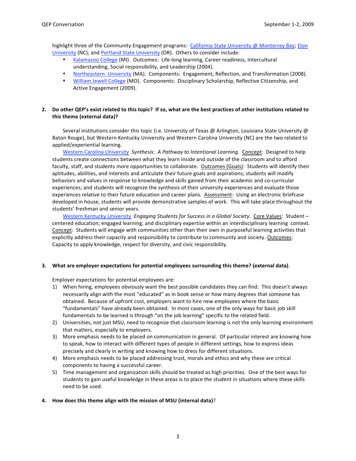highlight three of the Community Engagement programs: California State University @ Monterrey Bay; Elon University (NC); and Portland State University (OR). Others to consider include:

- Kalamazoo College (MI). Outcomes: Life-long learning, Career readiness, Intercultural  $\bullet$ understanding, Social responsibility, and Leadership (2004).
- $\bullet$ Northeastern University (MA). Components: Engagement, Reflection, and Transformation (2008).
- William Jewell College (MO). Components: Disciplinary Scholarship, Reflective Citizenship, and Active Engagement (2009).

#### 2. Do other QEP's exist related to this topic? If so, what are the best practices of other institutions related to this theme (external data)?

Several institutions consider this topic (i.e. University of Texas @ Arlington, Louisiana State University @ Baton Rouge), but Western Kentucky University and Western Carolina University (NC) are the two related to applied/experiential learning.

Western Carolina University Synthesis: A Pathway to Intentional Learning. Concept: Designed to help students create connections between what they learn inside and outside of the classroom and to afford faculty, staff, and students more opportunities to collaborate. Outcomes (Goals): Students will identify their aptitudes, abilities, and interests and articulate their future goals and aspirations; students will modify behaviors and values in response to knowledge and skills gained from their academic and co-curricular experiences; and students will recognize the synthesis of their university experiences and evaluate those experiences relative to their future education and career plans. Assessment: Using an electronic briefcase developed in house, students will provide demonstrative samples of work. This will take place throughout the students' freshman and senior vears.

Western Kentucky University Engaging Students for Success in a Global Society. Core Values: Student centered education; engaged learning; and disciplinary expertise within an interdisciplinary learning context. Concept: Students will engage with communities other than their own in purposeful learning activities that explicitly address their capacity and responsibility to contribute to community and society. Outcomes: Capacity to apply knowledge, respect for diversity, and civic responsibility.

#### 3. What are employer expectations for potential employees surrounding this theme? (external data).

Employer expectations for potential employees are:

- 1) When hiring, employees obviously want the best possible candidates they can find. This doesn't always necessarily align with the most "educated" as in book sense or how many degrees that someone has obtained. Because of upfront cost, employers want to hire new employees where the basic "fundamentals" have already been obtained. In most cases, one of the only ways for basic job skill fundamentals to be learned is through "on the job learning" specific to the related field.
- 2) Universities, not just MSU, need to recognize that classroom learning is not the only learning environment that matters, especially to employers.
- 3) More emphasis needs to be placed on communication in general. Of particular interest are knowing how to speak, how to interact with different types of people in different settings, how to express ideas precisely and clearly in writing and knowing how to dress for different situations.
- 4) More emphasis needs to be placed addressing trust, morals and ethics and why these are critical components to having a successful career.
- 5) Time management and organization skills should be treated as high priorities. One of the best ways for students to gain useful knowledge in these areas is to place the student in situations where these skills need to be used.

#### 4. How does this theme align with the mission of MSU (internal data)?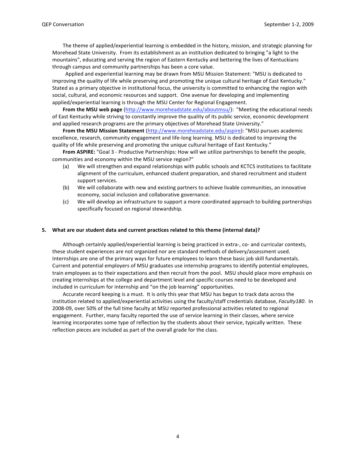The theme of applied/experiential learning is embedded in the history, mission, and strategic planning for Morehead State University. From its establishment as an institution dedicated to bringing "a light to the mountains", educating and serving the region of Eastern Kentucky and bettering the lives of Kentuckians through campus and community partnerships has been a core value.

Applied and experiential learning may be drawn from MSU Mission Statement: "MSU is dedicated to improving the quality of life while preserving and promoting the unique cultural heritage of East Kentucky." Stated as a primary objective in institutional focus, the university is committed to enhancing the region with social, cultural, and economic resources and support. One avenue for developing and implementing applied/experiential learning is through the MSU Center for Regional Engagement.

From the MSU web page (http://www.moreheadstate.edu/aboutmsu/): "Meeting the educational needs of East Kentucky while striving to constantly improve the quality of its public service, economic development and applied research programs are the primary objectives of Morehead State University."

From the MSU Mission Statement (http://www.moreheadstate.edu/aspire): "MSU pursues academic excellence, research, community engagement and life-long learning. MSU is dedicated to improving the quality of life while preserving and promoting the unique cultural heritage of East Kentucky."

From ASPIRE: "Goal 3 - Productive Partnerships: How will we utilize partnerships to benefit the people, communities and economy within the MSU service region?"

- We will strengthen and expand relationships with public schools and KCTCS institutions to facilitate  $(a)$ alignment of the curriculum, enhanced student preparation, and shared recruitment and student support services.
- We will collaborate with new and existing partners to achieve livable communities, an innovative  $(b)$ economy, social inclusion and collaborative governance.
- We will develop an infrastructure to support a more coordinated approach to building partnerships (c) specifically focused on regional stewardship.

#### 5. What are our student data and current practices related to this theme (internal data)?

Although certainly applied/experiential learning is being practiced in extra-, co- and curricular contexts, these student experiences are not organized nor are standard methods of delivery/assessment used. Internships are one of the primary ways for future employees to learn these basic job skill fundamentals. Current and potential employers of MSU graduates use internship programs to identify potential employees, train employees as to their expectations and then recruit from the pool. MSU should place more emphasis on creating internships at the college and department level and specific courses need to be developed and included in curriculum for internship and "on the job learning" opportunities.

Accurate record keeping is a must. It is only this year that MSU has begun to track data across the institution related to applied/experiential activities using the faculty/staff credentials database, Faculty180. In 2008-09, over 50% of the full time faculty at MSU reported professional activities related to regional engagement. Further, many faculty reported the use of service learning in their classes, where service learning incorporates some type of reflection by the students about their service, typically written. These reflection pieces are included as part of the overall grade for the class.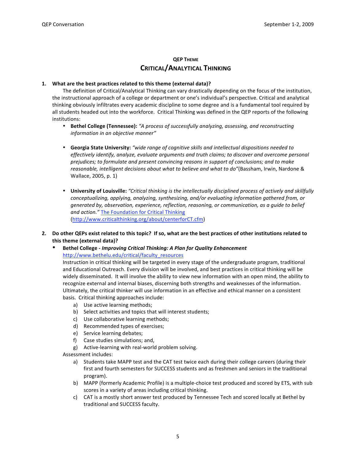# **OEP THEME CRITICAL/ANALYTICAL THINKING**

#### 1. What are the best practices related to this theme (external data)?

The definition of Critical/Analytical Thinking can vary drastically depending on the focus of the institution, the instructional approach of a college or department or one's individual's perspective. Critical and analytical thinking obviously infiltrates every academic discipline to some degree and is a fundamental tool required by all students headed out into the workforce. Critical Thinking was defined in the QEP reports of the following institutions:

- Bethel College (Tennessee): "A process of successfully analyzing, assessing, and reconstructing information in an objective manner"
- Georgia State University: "wide range of cognitive skills and intellectual dispositions needed to effectively identify, analyze, evaluate arguments and truth claims; to discover and overcome personal prejudices; to formulate and present convincing reasons in support of conclusions; and to make reasonable, intelligent decisions about what to believe and what to do"(Bassham, Irwin, Nardone & Wallace, 2005, p. 1)
- University of Louisville: "Critical thinking is the intellectually disciplined process of actively and skillfully conceptualizing, applying, analyzing, synthesizing, and/or evaluating information gathered from, or generated by, observation, experience, reflection, reasoning, or communication, as a guide to belief and action." The Foundation for Critical Thinking (http://www.criticalthinking.org/about/centerforCT.cfm)
- 2. Do other QEPs exist related to this topic? If so, what are the best practices of other institutions related to this theme (external data)?
	- Bethel College Improving Critical Thinking: A Plan for Quality Enhancement http://www.bethelu.edu/critical/faculty resources

Instruction in critical thinking will be targeted in every stage of the undergraduate program, traditional and Educational Outreach. Every division will be involved, and best practices in critical thinking will be widely disseminated. It will involve the ability to view new information with an open mind, the ability to recognize external and internal biases, discerning both strengths and weaknesses of the information. Ultimately, the critical thinker will use information in an effective and ethical manner on a consistent basis. Critical thinking approaches include:

- a) Use active learning methods;
- b) Select activities and topics that will interest students;
- c) Use collaborative learning methods;
- d) Recommended types of exercises;
- e) Service learning debates;
- f) Case studies simulations; and,
- g) Active-learning with real-world problem solving.

Assessment includes:

- a) Students take MAPP test and the CAT test twice each during their college careers (during their first and fourth semesters for SUCCESS students and as freshmen and seniors in the traditional program).
- b) MAPP (formerly Academic Profile) is a multiple-choice test produced and scored by ETS, with sub scores in a variety of areas including critical thinking.
- c) CAT is a mostly short answer test produced by Tennessee Tech and scored locally at Bethel by traditional and SUCCESS faculty.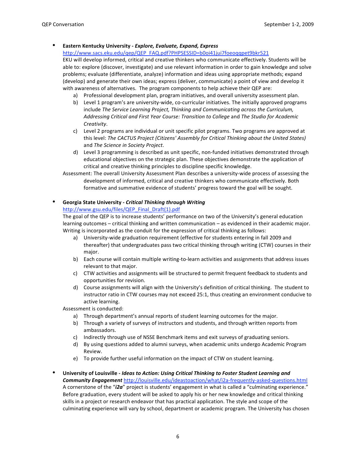#### Eastern Kentucky University - Explore, Evaluate, Expand, Express

http://www.sacs.eku.edu/qep/QEP\_FAQ.pdf?PHPSESSID=b0oi41jui7foeoqqpet9bkr521

EKU will develop informed, critical and creative thinkers who communicate effectively. Students will be able to: explore (discover, investigate) and use relevant information in order to gain knowledge and solve problems; evaluate (differentiate, analyze) information and ideas using appropriate methods; expand (develop) and generate their own ideas; express (deliver, communicate) a point of view and develop it with awareness of alternatives. The program components to help achieve their QEP are:

- a) Professional development plan, program initiatives, and overall university assessment plan.
- b) Level 1 program's are university-wide, co-curricular initiatives. The initially approved programs include The Service Learning Project, Thinking and Communicating across the Curriculum, Addressing Critical and First Year Course: Transition to College and The Studio for Academic Creativity.
- c) Level 2 programs are individual or unit specific pilot programs. Two programs are approved at this level: The CACTUS Project (Citizens' Assembly for Critical Thinking about the United States) and The Science in Society Project.
- d) Level 3 programming is described as unit specific, non-funded initiatives demonstrated through educational objectives on the strategic plan. These objectives demonstrate the application of critical and creative thinking principles to discipline specific knowledge.
- Assessment: The overall University Assessment Plan describes a university-wide process of assessing the development of informed, critical and creative thinkers who communicate effectively. Both formative and summative evidence of students' progress toward the goal will be sought.

# **Georgia State University - Critical Thinking through Writing**

#### http://www.gsu.edu/files/QEP Final Draft(1).pdf

The goal of the QEP is to increase students' performance on two of the University's general education learning outcomes - critical thinking and written communication - as evidenced in their academic major. Writing is incorporated as the conduit for the expression of critical thinking as follows:

- a) University-wide graduation requirement (effective for students entering in fall 2009 and thereafter) that undergraduates pass two critical thinking through writing (CTW) courses in their major.
- b) Each course will contain multiple writing-to-learn activities and assignments that address issues relevant to that major.
- c) CTW activities and assignments will be structured to permit frequent feedback to students and opportunities for revision.
- d) Course assignments will align with the University's definition of critical thinking. The student to instructor ratio in CTW courses may not exceed 25:1, thus creating an environment conducive to active learning.

Assessment is conducted:

- a) Through department's annual reports of student learning outcomes for the major.
- b) Through a variety of surveys of instructors and students, and through written reports from ambassadors.
- c) Indirectly through use of NSSE Benchmark items and exit surveys of graduating seniors.
- d) By using questions added to alumni surveys, when academic units undergo Academic Program Review
- e) To provide further useful information on the impact of CTW on student learning.
- University of Louisville Ideas to Action: Using Critical Thinking to Foster Student Learning and **Community Engagement** http://louisville.edu/ideastoaction/what/i2a-frequently-asked-questions.html A cornerstone of the "i2a" project is students' engagement in what is called a "culminating experience." Before graduation, every student will be asked to apply his or her new knowledge and critical thinking skills in a project or research endeavor that has practical application. The style and scope of the culminating experience will vary by school, department or academic program. The University has chosen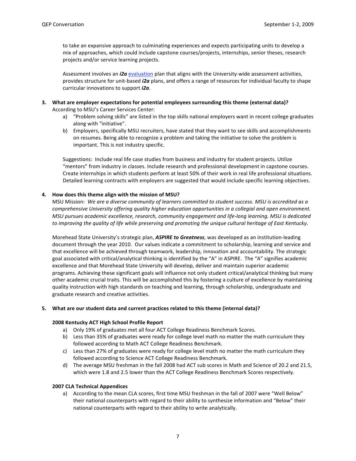to take an expansive approach to culminating experiences and expects participating units to develop a mix of approaches, which could include capstone courses/projects, internships, senior theses, research projects and/or service learning projects.

Assessment involves an i2a evaluation plan that aligns with the University-wide assessment activities, provides structure for unit-based *i2a* plans, and offers a range of resources for individual faculty to shape curricular innovations to support i2a.

- 3. What are employer expectations for potential employees surrounding this theme (external data)? According to MSU's Career Services Center:
	- a) "Problem solving skills" are listed in the top skills national employers want in recent college graduates along with "initiative".
	- b) Employers, specifically MSU recruiters, have stated that they want to see skills and accomplishments on resumes. Being able to recognize a problem and taking the initiative to solve the problem is important. This is not industry specific.

Suggestions: Include real life case studies from business and industry for student projects. Utilize "mentors" from industry in classes. Include research and professional development in capstone courses. Create internships in which students perform at least 50% of their work in real life professional situations. Detailed learning contracts with employers are suggested that would include specific learning objectives.

#### 4. How does this theme align with the mission of MSU?

MSU Mission: We are a diverse community of learners committed to student success. MSU is accredited as a comprehensive University offering quality higher education opportunities in a collegial and open environment. MSU pursues academic excellence, research, community engagement and life-long learning. MSU is dedicated to improving the quality of life while preserving and promoting the unique cultural heritage of East Kentucky.

Morehead State University's strategic plan, ASPIRE to Greatness, was developed as an institution-leading document through the year 2010. Our values indicate a commitment to scholarship, learning and service and that excellence will be achieved through teamwork, leadership, innovation and accountability. The strategic goal associated with critical/analytical thinking is identified by the "A" in ASPIRE. The "A" signifies academic excellence and that Morehead State University will develop, deliver and maintain superior academic programs. Achieving these significant goals will influence not only student critical/analytical thinking but many other academic crucial traits. This will be accomplished this by fostering a culture of excellence by maintaining quality instruction with high standards on teaching and learning, through scholarship, undergraduate and graduate research and creative activities.

#### 5. What are our student data and current practices related to this theme (internal data)?

#### 2008 Kentucky ACT High School Profile Report

- a) Only 19% of graduates met all four ACT College Readiness Benchmark Scores.
- b) Less than 35% of graduates were ready for college level math no matter the math curriculum they followed according to Math ACT College Readiness Benchmark.
- c) Less than 27% of graduates were ready for college level math no matter the math curriculum they followed according to Science ACT College Readiness Benchmark.
- d) The average MSU freshman in the fall 2008 had ACT sub scores in Math and Science of 20.2 and 21.5, which were 1.8 and 2.5 lower than the ACT College Readiness Benchmark Scores respectively.

#### **2007 CLA Technical Appendices**

a) According to the mean CLA scores, first time MSU freshman in the fall of 2007 were "Well Below" their national counterparts with regard to their ability to synthesize information and "Below" their national counterparts with regard to their ability to write analytically.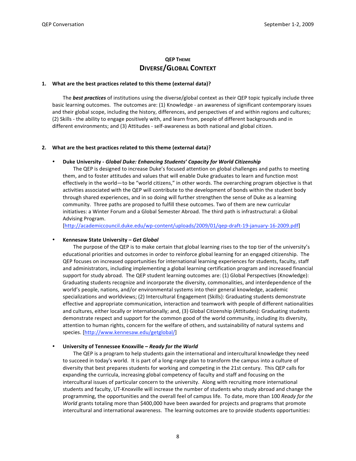# **QEP THEME DIVERSE/GLOBAL CONTEXT**

#### 1. What are the best practices related to this theme (external data)?

The **best practices** of institutions using the diverse/global context as their QEP topic typically include three basic learning outcomes. The outcomes are: (1) Knowledge - an awareness of significant contemporary issues and their global scope, including the history, differences, and perspectives of and within regions and cultures; (2) Skills - the ability to engage positively with, and learn from, people of different backgrounds and in different environments; and (3) Attitudes - self-awareness as both national and global citizen.

#### 2. What are the best practices related to this theme (external data)?

#### Duke University - Global Duke: Enhancing Students' Capacity for World Citizenship

The QEP is designed to increase Duke's focused attention on global challenges and paths to meeting them, and to foster attitudes and values that will enable Duke graduates to learn and function most effectively in the world-to be "world citizens," in other words. The overarching program objective is that activities associated with the QEP will contribute to the development of bonds within the student body through shared experiences, and in so doing will further strengthen the sense of Duke as a learning community. Three paths are proposed to fulfill these outcomes. Two of them are new curricular initiatives: a Winter Forum and a Global Semester Abroad. The third path is infrastructural: a Global Advising Program.

[http://academiccouncil.duke.edu/wp-content/uploads/2009/01/qep-draft-19-january-16-2009.pdf]

#### Kennesaw State University - Get Global

The purpose of the QEP is to make certain that global learning rises to the top tier of the university's educational priorities and outcomes in order to reinforce global learning for an engaged citizenship. The QEP focuses on increased opportunities for international learning experiences for students, faculty, staff and administrators, including implementing a global learning certification program and increased financial support for study abroad. The QEP student learning outcomes are: (1) Global Perspectives (Knowledge): Graduating students recognize and incorporate the diversity, commonalities, and interdependence of the world's people, nations, and/or environmental systems into their general knowledge, academic specializations and worldviews; (2) Intercultural Engagement (Skills): Graduating students demonstrate effective and appropriate communication, interaction and teamwork with people of different nationalities and cultures, either locally or internationally; and, (3) Global Citizenship (Attitudes): Graduating students demonstrate respect and support for the common good of the world community, including its diversity, attention to human rights, concern for the welfare of others, and sustainability of natural systems and species. [http://www.kennesaw.edu/getglobal/]

#### University of Tennessee Knoxville - Ready for the World

The QEP is a program to help students gain the international and intercultural knowledge they need to succeed in today's world. It is part of a long-range plan to transform the campus into a culture of diversity that best prepares students for working and competing in the 21st century. This QEP calls for expanding the curricula, increasing global competency of faculty and staff and focusing on the intercultural issues of particular concern to the university. Along with recruiting more international students and faculty, UT-Knoxville will increase the number of students who study abroad and change the programming, the opportunities and the overall feel of campus life. To date, more than 100 Ready for the World grants totaling more than \$400,000 have been awarded for projects and programs that promote intercultural and international awareness. The learning outcomes are to provide students opportunities: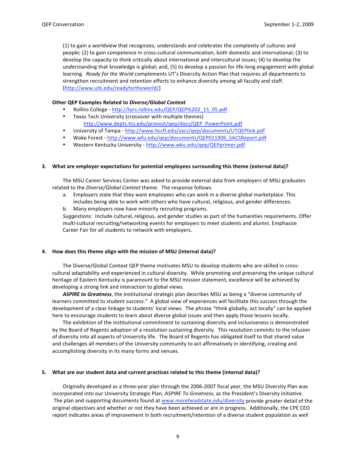(1) to gain a worldview that recognizes, understands and celebrates the complexity of cultures and people; (2) to gain competence in cross-cultural communication, both domestic and international; (3) to develop the capacity to think critically about international and intercultural issues; (4) to develop the understanding that knowledge is global; and, (5) to develop a passion for life-long engagement with global learning. Ready for the World complements UT's Diversity Action Plan that requires all departments to strengthen recruitment and retention efforts to enhance diversity among all faculty and staff. [http://www.utk.edu/readyfortheworld/]

#### Other QEP Examples Related to Diverse/Global Context

- Rollins College http://tars.rollins.edu/QEP/QEP%202\_15\_05.pdf
- Texas Tech University (crossover with multiple themes) http://www.depts.ttu.edu/provost/qep/docs/QEP PowerPoint.pdf
- University of Tampa http://www.hccfl.edu/sacs/qep/documents/UTQEPlink.pdf
- Wake Forest http://www.wfu.edu/qep/documents/QEP011906 SACSReport.pdf
- Western Kentucky University http://www.wku.edu/qep/QEPprimer.pdf

#### 3. What are employer expectations for potential employees surrounding this theme (external data)?

The MSU Career Services Center was asked to provide external data from employers of MSU graduates related to the Diverse/Global Context theme. The response follows.

- a. Employers state that they want employees who can work in a diverse global marketplace. This includes being able to work with others who have cultural, religious, and gender differences.
- b. Many employers now have minority recruiting programs.

Suggestions: Include cultural, religious, and gender studies as part of the humanities requirements. Offer multi-cultural recruiting/networking events for employers to meet students and alumni. Emphasize Career Fair for all students to network with employers.

#### 4. How does this theme align with the mission of MSU (internal data)?

The Diverse/Global Context QEP theme motivates MSU to develop students who are skilled in crosscultural adaptability and experienced in cultural diversity. While promoting and preserving the unique cultural heritage of Eastern Kentucky is paramount to the MSU mission statement, excellence will be achieved by developing a strong link and interaction to global views.

ASPIRE to Greatness, the institutional strategic plan describes MSU as being a "diverse community of learners committed to student success." A global view of experiences will facilitate this success through the development of a clear linkage to students' local views. The phrase "think globally, act locally" can be applied here to encourage students to learn about diverse global issues and then apply those lessons locally.

The exhibition of the institutional commitment to sustaining diversity and inclusiveness is demonstrated by the Board of Regents adoption of a resolution sustaining diversity. This resolution commits to the infusion of diversity into all aspects of University life. The Board of Regents has obligated itself to that shared value and challenges all members of the University community to act affirmatively in identifying, creating and accomplishing diversity in its many forms and venues.

#### 5. What are our student data and current practices related to this theme (internal data)?

Originally developed as a three-year plan through the 2006-2007 fiscal year, the MSU Diversity Plan was incorporated into our University Strategic Plan, ASPIRE To Greatness, as the President's Diversity Initiative. The plan and supporting documents found at www.moreheadstate.edu/diversity provide greater detail of the original objectives and whether or not they have been achieved or are in progress. Additionally, the CPE CEO report indicates areas of improvement in both recruitment/retention of a diverse student population as well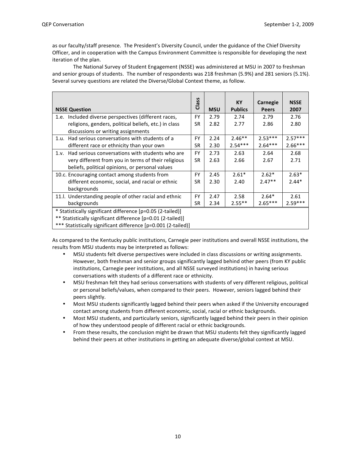as our faculty/staff presence. The President's Diversity Council, under the guidance of the Chief Diversity Officer, and in cooperation with the Campus Environment Committee is responsible for developing the next iteration of the plan.

The National Survey of Student Engagement (NSSE) was administered at MSU in 2007 to freshman and senior groups of students. The number of respondents was 218 freshman (5.9%) and 281 seniors (5.1%). Several survey questions are related the Diverse/Global Context theme, as follow.

| <b>NSSE Question</b>                                          | S<br>û<br>ä | <b>MSU</b> | KY<br><b>Publics</b> | Carnegie<br><b>Peers</b> | <b>NSSE</b><br>2007 |
|---------------------------------------------------------------|-------------|------------|----------------------|--------------------------|---------------------|
|                                                               |             |            |                      |                          |                     |
| Included diverse perspectives (different races,<br>1.e.       | <b>FY</b>   | 2.79       | 2.74                 | 2.79                     | 2.76                |
| religions, genders, political beliefs, etc.) in class         | <b>SR</b>   | 2.82       | 2.77                 | 2.86                     | 2.80                |
| discussions or writing assignments                            |             |            |                      |                          |                     |
| 1.u. Had serious conversations with students of a             | <b>FY</b>   | 2.24       | $2.46**$             | $2.53***$                | $2.57***$           |
| different race or ethnicity than your own                     | SR          | 2.30       | $2.54***$            | $2.64***$                | $2.66***$           |
| Had serious conversations with students who are<br>$1_v$      | <b>FY</b>   | 2.73       | 2.63                 | 2.64                     | 2.68                |
| very different from you in terms of their religious           | SR          | 2.63       | 2.66                 | 2.67                     | 2.71                |
| beliefs, political opinions, or personal values               |             |            |                      |                          |                     |
| 10.c. Encouraging contact among students from                 | <b>FY</b>   | 2.45       | $2.61*$              | $2.62*$                  | $2.63*$             |
| different economic, social, and racial or ethnic              | SR          | 2.30       | 2.40                 | $2.47**$                 | $2.44*$             |
| backgrounds                                                   |             |            |                      |                          |                     |
| 11.1. Understanding people of other racial and ethnic         | <b>FY</b>   | 2.47       | 2.58                 | $2.64*$                  | 2.61                |
| backgrounds                                                   | <b>SR</b>   | 2.34       | $2.55**$             | $2.65***$                | $2.59***$           |
| * Statistically significant difference [p=0.05 (2-tailed)]    |             |            |                      |                          |                     |
| ** Statistically significant difference [p=0.01 (2-tailed)]   |             |            |                      |                          |                     |
| *** Statistically significant difference [p=0.001 (2-tailed)] |             |            |                      |                          |                     |

As compared to the Kentucky public institutions, Carnegie peer institutions and overall NSSE institutions, the results from MSU students may be interpreted as follows:

- MSU students felt diverse perspectives were included in class discussions or writing assignments. However, both freshman and senior groups significantly lagged behind other peers (from KY public institutions, Carnegie peer institutions, and all NSSE surveyed institutions) in having serious conversations with students of a different race or ethnicity.
- $\bullet$  . MSU freshman felt they had serious conversations with students of very different religious, political or personal beliefs/values, when compared to their peers. However, seniors lagged behind their peers slightly.
- $\bullet$ Most MSU students significantly lagged behind their peers when asked if the University encouraged contact among students from different economic, social, racial or ethnic backgrounds.
- $\bullet$ Most MSU students, and particularly seniors, significantly lagged behind their peers in their opinion of how they understood people of different racial or ethnic backgrounds.
- $\bullet$  . From these results, the conclusion might be drawn that MSU students felt they significantly lagged behind their peers at other institutions in getting an adequate diverse/global context at MSU.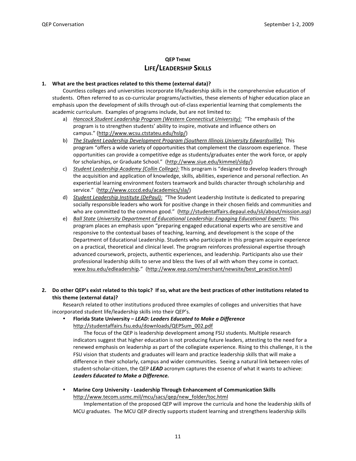# **OEP THEME** LIFE/LEADERSHIP SKILLS

#### 1. What are the best practices related to this theme (external data)?

Countless colleges and universities incorporate life/leadership skills in the comprehensive education of students. Often referred to as co-curricular programs/activities, these elements of higher education place an emphasis upon the development of skills through out-of-class experiential learning that complements the academic curriculum. Examples of programs include, but are not limited to:

- a) Hancock Student Leadership Program (Western Connecticut University): "The emphasis of the program is to strengthen students' ability to inspire, motivate and influence others on campus." (http://www.wcsu.ctstateu.edu/hslp/)
- b) The Student Leadership Development Program (Southern Illinois University Edwardsville): This program "offers a wide variety of opportunities that complement the classroom experience. These opportunities can provide a competitive edge as students/graduates enter the work force, or apply for scholarships, or Graduate School." (http://www.siue.edu/kimmel/sldp/)
- c) Student Leadership Academy (Collin College): This program is "designed to develop leaders through the acquisition and application of knowledge, skills, abilities, experience and personal reflection. An experiential learning environment fosters teamwork and builds character through scholarship and service." (http://www.ccccd.edu/academics/sla/)
- d) Student Leadership Institute (DePaul): "The Student Leadership Institute is dedicated to preparing socially responsible leaders who work for positive change in their chosen fields and communities and who are committed to the common good." (http://studentaffairs.depaul.edu/sli/about/mission.asp)
- e) Ball State University Department of Educational Leadership: Engaging Educational Experts: This program places an emphasis upon "preparing engaged educational experts who are sensitive and responsive to the contextual bases of teaching, learning, and development is the scope of the Department of Educational Leadership. Students who participate in this program acquire experience on a practical, theoretical and clinical level. The program reinforces professional expertise through advanced coursework, projects, authentic experiences, and leadership. Participants also use their professional leadership skills to serve and bless the lives of all with whom they come in contact. www.bsu.edu/edleadership." (http://www.eep.com/merchant/newsite/best\_practice.html)
- 2. Do other QEP's exist related to this topic? If so, what are the best practices of other institutions related to this theme (external data)?

Research related to other institutions produced three examples of colleges and universities that have incorporated student life/leadership skills into their QEP's.

Florida State University - LEAD: Leaders Educated to Make a Difference http://studentaffairs.fsu.edu/downloads/QEPSum\_002.pdf

The focus of the QEP is leadership development among FSU students. Multiple research indicators suggest that higher education is not producing future leaders, attesting to the need for a renewed emphasis on leadership as part of the collegiate experience. Rising to this challenge, it is the FSU vision that students and graduates will learn and practice leadership skills that will make a difference in their scholarly, campus and wider communities. Seeing a natural link between roles of student-scholar-citizen, the QEP LEAD acronym captures the essence of what it wants to achieve: Leaders Educated to Make a Difference.

Marine Corp University - Leadership Through Enhancement of Communication Skills http://www.tecom.usmc.mil/mcu/sacs/qep/new\_folder/toc.html

Implementation of the proposed QEP will improve the curricula and hone the leadership skills of MCU graduates. The MCU QEP directly supports student learning and strengthens leadership skills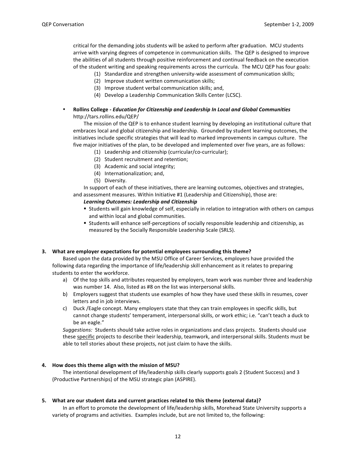critical for the demanding jobs students will be asked to perform after graduation. MCU students arrive with varying degrees of competence in communication skills. The QEP is designed to improve the abilities of all students through positive reinforcement and continual feedback on the execution of the student writing and speaking requirements across the curricula. The MCU QEP has four goals:

- (1) Standardize and strengthen university-wide assessment of communication skills;
- (2) Improve student written communication skills;
- (3) Improve student verbal communication skills; and,
- (4) Develop a Leadership Communication Skills Center (LCSC).
- Rollins College Education for Citizenship and Leadership In Local and Global Communities http://tars.rollins.edu/QEP/

The mission of the QEP is to enhance student learning by developing an institutional culture that embraces local and global citizenship and leadership. Grounded by student learning outcomes, the initiatives include specific strategies that will lead to marked improvements in campus culture. The five major initiatives of the plan, to be developed and implemented over five years, are as follows:

- (1) Leadership and citizenship (curricular/co-curricular);
- (2) Student recruitment and retention;
- (3) Academic and social integrity;
- (4) Internationalization; and,
- (5) Diversity.

In support of each of these initiatives, there are learning outcomes, objectives and strategies, and assessment measures. Within Initiative #1 (Leadership and Citizenship), those are:

#### **Learning Outcomes: Leadership and Citizenship**

- " Students will gain knowledge of self, especially in relation to integration with others on campus and within local and global communities.
- " Students will enhance self-perceptions of socially responsible leadership and citizenship, as measured by the Socially Responsible Leadership Scale (SRLS).

#### 3. What are employer expectations for potential employees surrounding this theme?

Based upon the data provided by the MSU Office of Career Services, employers have provided the following data regarding the importance of life/leadership skill enhancement as it relates to preparing students to enter the workforce.

- a) Of the top skills and attributes requested by employers, team work was number three and leadership was number 14. Also, listed as #8 on the list was interpersonal skills.
- b) Employers suggest that students use examples of how they have used these skills in resumes, cover letters and in job interviews.
- c) Duck /Eagle concept. Many employers state that they can train employees in specific skills, but cannot change students' temperament, interpersonal skills, or work ethic; i.e. "can't teach a duck to be an eagle."

Suggestions: Students should take active roles in organizations and class projects. Students should use these specific projects to describe their leadership, teamwork, and interpersonal skills. Students must be able to tell stories about these projects, not just claim to have the skills.

#### 4. How does this theme align with the mission of MSU?

The intentional development of life/leadership skills clearly supports goals 2 (Student Success) and 3 (Productive Partnerships) of the MSU strategic plan (ASPIRE).

#### 5. What are our student data and current practices related to this theme (external data)?

In an effort to promote the development of life/leadership skills, Morehead State University supports a variety of programs and activities. Examples include, but are not limited to, the following: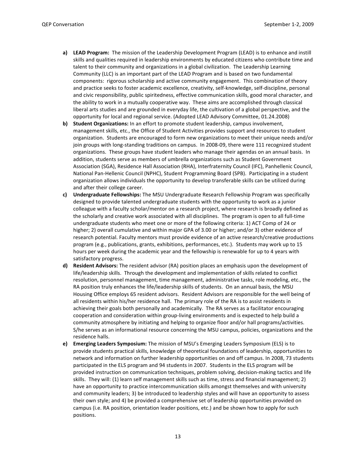- a) LEAD Program: The mission of the Leadership Development Program (LEAD) is to enhance and instill skills and qualities required in leadership environments by educated citizens who contribute time and talent to their community and organizations in a global civilization. The Leadership Learning Community (LLC) is an important part of the LEAD Program and is based on two fundamental components: rigorous scholarship and active community engagement. This combination of theory and practice seeks to foster academic excellence, creativity, self-knowledge, self-discipline, personal and civic responsibility, public spiritedness, effective communication skills, good moral character, and the ability to work in a mutually cooperative way. These aims are accomplished through classical liberal arts studies and are grounded in everyday life, the cultivation of a global perspective, and the opportunity for local and regional service. (Adopted LEAD Advisory Committee, 01.24.2008)
- b) Student Organizations: In an effort to promote student leadership, campus involvement, management skills, etc., the Office of Student Activities provides support and resources to student organization. Students are encouraged to form new organizations to meet their unique needs and/or join groups with long-standing traditions on campus. In 2008-09, there were 111 recognized student organizations. These groups have student leaders who manage their agendas on an annual basis. In addition, students serve as members of umbrella organizations such as Student Government Association (SGA), Residence Hall Association (RHA), Interfraternity Council (IFC), Panhellenic Council, National Pan-Hellenic Council (NPHC), Student Programming Board (SPB). Participating in a student organization allows individuals the opportunity to develop transferable skills can be utilized during and after their college career.
- c) Undergraduate Fellowships: The MSU Undergraduate Research Fellowship Program was specifically designed to provide talented undergraduate students with the opportunity to work as a junior colleague with a faculty scholar/mentor on a research project, where research is broadly defined as the scholarly and creative work associated with all disciplines. The program is open to all full-time undergraduate students who meet one or more of the following criteria: 1) ACT Comp of 24 or higher; 2) overall cumulative and within major GPA of 3.00 or higher; and/or 3) other evidence of research potential. Faculty mentors must provide evidence of an active research/creative productions program (e.g., publications, grants, exhibitions, performances, etc.). Students may work up to 15 hours per week during the academic year and the fellowship is renewable for up to 4 years with satisfactory progress.
- d) Resident Advisors: The resident advisor (RA) position places an emphasis upon the development of life/leadership skills. Through the development and implementation of skills related to conflict resolution, personnel management, time management, administrative tasks, role modeling, etc., the RA position truly enhances the life/leadership skills of students. On an annual basis, the MSU Housing Office employs 65 resident advisors. Resident Advisors are responsible for the well being of all residents within his/her residence hall. The primary role of the RA is to assist residents in achieving their goals both personally and academically. The RA serves as a facilitator encouraging cooperation and consideration within group-living environments and is expected to help build a community atmosphere by initiating and helping to organize floor and/or hall programs/activities. S/he serves as an informational resource concerning the MSU campus, policies, organizations and the residence halls.
- e) Emerging Leaders Symposium: The mission of MSU's Emerging Leaders Symposium (ELS) is to provide students practical skills, knowledge of theoretical foundations of leadership, opportunities to network and information on further leadership opportunities on and off campus. In 2008, 73 students participated in the ELS program and 94 students in 2007. Students in the ELS program will be provided instruction on communication techniques, problem solving, decision-making tactics and life skills. They will: (1) learn self management skills such as time, stress and financial management; 2) have an opportunity to practice intercommunication skills amongst themselves and with university and community leaders; 3) be introduced to leadership styles and will have an opportunity to assess their own style; and 4) be provided a comprehensive set of leadership opportunities provided on campus (i.e. RA position, orientation leader positions, etc.) and be shown how to apply for such positions.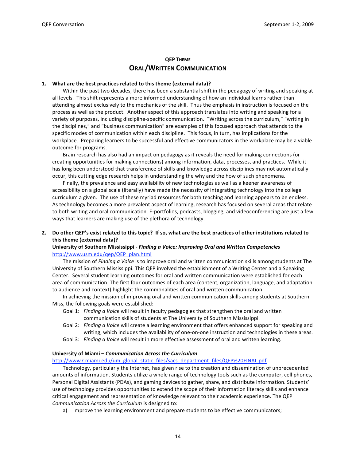### **QEP THEME ORAL/WRITTEN COMMUNICATION**

#### 1. What are the best practices related to this theme (external data)?

Within the past two decades, there has been a substantial shift in the pedagogy of writing and speaking at all levels. This shift represents a more informed understanding of how an individual learns rather than attending almost exclusively to the mechanics of the skill. Thus the emphasis in instruction is focused on the process as well as the product. Another aspect of this approach translates into writing and speaking for a variety of purposes, including discipline-specific communication. "Writing across the curriculum," "writing in the disciplines," and "business communication" are examples of this focused approach that attends to the specific modes of communication within each discipline. This focus, in turn, has implications for the workplace. Preparing learners to be successful and effective communicators in the workplace may be a viable outcome for programs.

Brain research has also had an impact on pedagogy as it reveals the need for making connections (or creating opportunities for making connections) among information, data, processes, and practices. While it has long been understood that transference of skills and knowledge across disciplines may not automatically occur, this cutting edge research helps in understanding the why and the how of such phenomena.

Finally, the prevalence and easy availability of new technologies as well as a keener awareness of accessibility on a global scale (literally) have made the necessity of integrating technology into the college curriculum a given. The use of these myriad resources for both teaching and learning appears to be endless. As technology becomes a more prevalent aspect of learning, research has focused on several areas that relate to both writing and oral communication. E-portfolios, podcasts, blogging, and videoconferencing are just a few ways that learners are making use of the plethora of technology.

2. Do other QEP's exist related to this topic? If so, what are the best practices of other institutions related to this theme (external data)?

#### University of Southern Mississippi - Finding a Voice: Improving Oral and Written Competencies http://www.usm.edu/qep/QEP plan.html

The mission of *Finding a Voice* is to improve oral and written communication skills among students at The University of Southern Mississippi. This QEP involved the establishment of a Writing Center and a Speaking Center. Several student learning outcomes for oral and written communication were established for each area of communication. The first four outcomes of each area (content, organization, language, and adaptation to audience and context) highlight the commonalities of oral and written communication.

In achieving the mission of improving oral and written communication skills among students at Southern Miss, the following goals were established:

- Goal 1: Finding a Voice will result in faculty pedagogies that strengthen the oral and written communication skills of students at The University of Southern Mississippi.
- Goal 2: Finding a Voice will create a learning environment that offers enhanced support for speaking and writing, which includes the availability of one-on-one instruction and technologies in these areas.
- Goal 3: Finding a Voice will result in more effective assessment of oral and written learning.

#### University of Miami - Communication Across the Curriculum

http://www7.miami.edu/um\_global\_static\_files/sacs\_department\_files/QEP%20FINAL.pdf

Technology, particularly the Internet, has given rise to the creation and dissemination of unprecedented amounts of information. Students utilize a whole range of technology tools such as the computer, cell phones, Personal Digital Assistants (PDAs), and gaming devices to gather, share, and distribute information. Students' use of technology provides opportunities to extend the scope of their information literacy skills and enhance critical engagement and representation of knowledge relevant to their academic experience. The QEP Communication Across the Curriculum is designed to:

a) Improve the learning environment and prepare students to be effective communicators;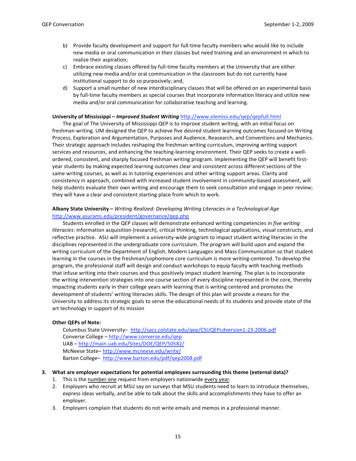- b) Provide faculty development and support for full-time faculty members who would like to include new media or oral communication in their classes but need training and an environment in which to realize their aspiration;
- c) Embrace existing classes offered by full-time faculty members at the University that are either utilizing new media and/or oral communication in the classroom but do not currently have institutional support to do so purposively; and,
- d) Support a small number of new interdisciplinary classes that will be offered on an experimental basis by full-time faculty members as special courses that incorporate information literacy and utilize new media and/or oral communication for collaborative teaching and learning.

#### University of Mississippi - Improved Student Writing http://www.olemiss.edu/gep/gepfull.html

The goal of The University of Mississippi QEP is to improve student writing, with an initial focus on freshman writing. UM designed the QEP to achieve five desired student learning outcomes focused on Writing Process, Exploration and Argumentation, Purposes and Audience, Reasearch, and Conventions and Mechanics. Their strategic approach includes reshaping the freshman writing curriculum, improving writing support services and resources, and enhancing the teaching-learning environment. Their QEP seeks to create a wellordered, consistent, and sharply focused freshman writing program. Implementing the QEP will benefit firstyear students by making expected learning outcomes clear and consistent across different sections of the same writing courses, as well as in tutoring experiences and other writing support areas. Clarity and consistency in approach, combined with increased student involvement in community-based assessment, will help students evaluate their own writing and encourage them to seek consultation and engage in peer review; they will have a clear and consistent starting place from which to work.

#### Albany State University - Writing Realized: Developing Writing Literacies in a Technological Age http://www.asurams.edu/president/governance/gep.php

Students enrolled in the QEP classes will demonstrate enhanced writing competencies in five writing literacies: information acquisition (research), critical thinking, technological applications, visual constructs, and reflective practice. ASU will implement a university-wide program to impact student writing literacies in the disciplines represented in the undergraduate core curriculum. The program will build upon and expand the writing curriculum of the Department of English, Modern Languages and Mass Communication so that student learning in the courses in the freshman/sophomore core curriculum is more writing-centered. To develop the program, the professional staff will design and conduct workshops to equip faculty with teaching methods that infuse writing into their courses and thus positively impact student learning. The plan is to incorporate the writing intervention strategies into one course section of every discipline represented in the core, thereby impacting students early in their college years with learning that is writing centered and promotes the development of students' writing literacies skills. The design of this plan will provide a means for the University to address its strategic goals to serve the educational needs of its students and provide state of the art technology in support of its mission

#### **Other QEPs of Note:**

Columbus State University- http://sacs.colstate.edu/qep/CSUQEPcdversion1-23-2006.pdf Converse College - http://www.converse.edu/qep UAB-http://main.uab.edu/Sites/DOE/QEP/50582/ McNeese State-http://www.mcneese.edu/write/ Barton College- http://www.barton.edu/pdf/qep2008.pdf

#### 3. What are employer expectations for potential employees surrounding this theme (external data)?

- 1. This is the number one request from employers nationwide every year.
- 2. Employers who recruit at MSU say on surveys that MSU students need to learn to introduce themselves, express ideas verbally, and be able to talk about the skills and accomplishments they have to offer an employer.
- 3. Employers complain that students do not write emails and memos in a professional manner.